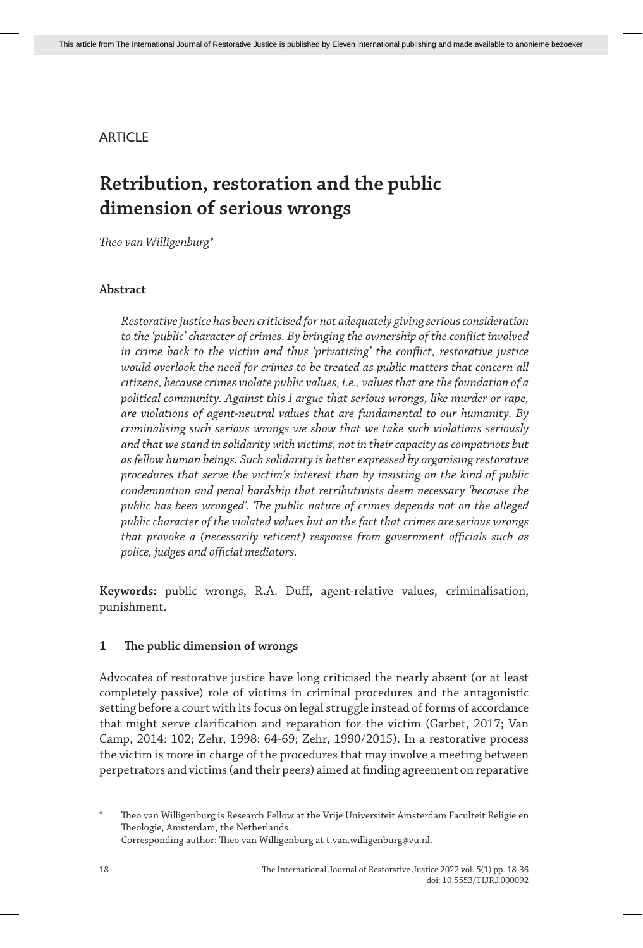# **ARTICLE**

# **Retribution, restoration and the public dimension of serious wrongs**

*Theo van Willigenburg\**

# **Abstract**

*Restorative justice has been criticised for not adequately giving serious consideration to the 'public' character of crimes. By bringing the ownership of the conflict involved in crime back to the victim and thus 'privatising' the conflict, restorative justice would overlook the need for crimes to be treated as public matters that concern all citizens, because crimes violate public values, i.e., values that are the foundation of a political community. Against this I argue that serious wrongs, like murder or rape, are violations of agent-neutral values that are fundamental to our humanity. By criminalising such serious wrongs we show that we take such violations seriously and that we stand in solidarity with victims, not in their capacity as compatriots but as fellow human beings. Such solidarity is better expressed by organising restorative procedures that serve the victim's interest than by insisting on the kind of public condemnation and penal hardship that retributivists deem necessary 'because the public has been wronged'. The public nature of crimes depends not on the alleged public character of the violated values but on the fact that crimes are serious wrongs that provoke a (necessarily reticent) response from government officials such as police, judges and official mediators.*

**Keywords:** public wrongs, R.A. Duff, agent-relative values, criminalisation, punishment.

# **1 The public dimension of wrongs**

Advocates of restorative justice have long criticised the nearly absent (or at least completely passive) role of victims in criminal procedures and the antagonistic setting before a court with its focus on legal struggle instead of forms of accordance that might serve clarification and reparation for the victim (Garbet, 2017; Van Camp, 2014: 102; Zehr, 1998: 64-69; Zehr, 1990/2015). In a restorative process the victim is more in charge of the procedures that may involve a meeting between perpetrators and victims (and their peers) aimed at finding agreement on reparative

Theo van Willigenburg is Research Fellow at the Vrije Universiteit Amsterdam Faculteit Religie en Theologie, Amsterdam, the Netherlands. Corresponding author: Theo van Willigenburg at t.van.willigenburg@vu.nl.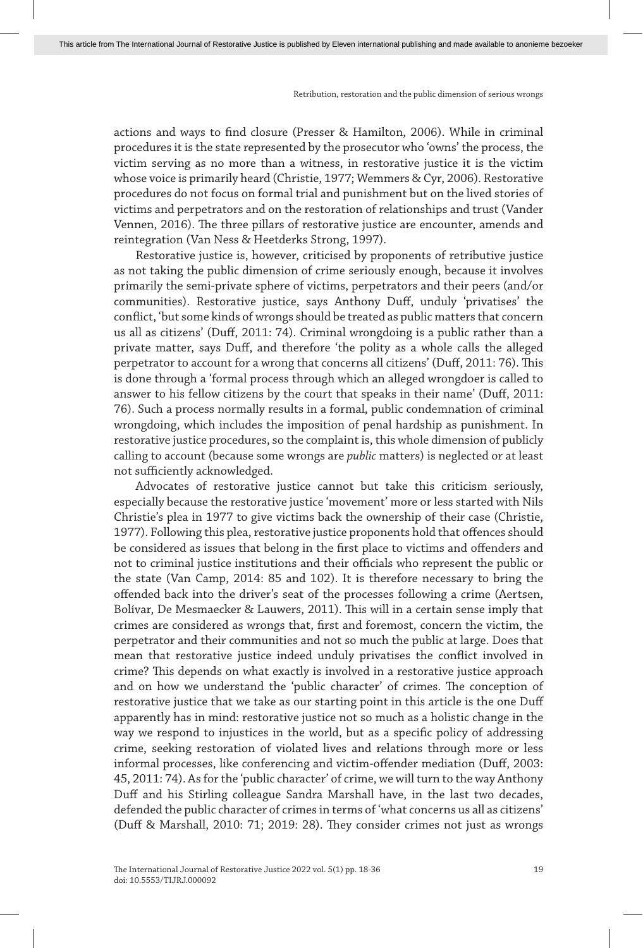actions and ways to find closure (Presser & Hamilton, 2006). While in criminal procedures it is the state represented by the prosecutor who 'owns' the process, the victim serving as no more than a witness, in restorative justice it is the victim whose voice is primarily heard (Christie, 1977; Wemmers & Cyr, 2006). Restorative procedures do not focus on formal trial and punishment but on the lived stories of victims and perpetrators and on the restoration of relationships and trust (Vander Vennen, 2016). The three pillars of restorative justice are encounter, amends and reintegration (Van Ness & Heetderks Strong, 1997).

Restorative justice is, however, criticised by proponents of retributive justice as not taking the public dimension of crime seriously enough, because it involves primarily the semi-private sphere of victims, perpetrators and their peers (and/or communities). Restorative justice, says Anthony Duff, unduly 'privatises' the conflict, 'but some kinds of wrongs should be treated as public matters that concern us all as citizens' (Duff, 2011: 74). Criminal wrongdoing is a public rather than a private matter, says Duff, and therefore 'the polity as a whole calls the alleged perpetrator to account for a wrong that concerns all citizens' (Duff, 2011: 76). This is done through a 'formal process through which an alleged wrongdoer is called to answer to his fellow citizens by the court that speaks in their name' (Duff, 2011: 76). Such a process normally results in a formal, public condemnation of criminal wrongdoing, which includes the imposition of penal hardship as punishment. In restorative justice procedures, so the complaint is, this whole dimension of publicly calling to account (because some wrongs are *public* matters) is neglected or at least not sufficiently acknowledged.

Advocates of restorative justice cannot but take this criticism seriously, especially because the restorative justice 'movement' more or less started with Nils Christie's plea in 1977 to give victims back the ownership of their case (Christie, 1977). Following this plea, restorative justice proponents hold that offences should be considered as issues that belong in the first place to victims and offenders and not to criminal justice institutions and their officials who represent the public or the state (Van Camp, 2014: 85 and 102). It is therefore necessary to bring the offended back into the driver's seat of the processes following a crime (Aertsen, Bolívar, De Mesmaecker & Lauwers, 2011). This will in a certain sense imply that crimes are considered as wrongs that, first and foremost, concern the victim, the perpetrator and their communities and not so much the public at large. Does that mean that restorative justice indeed unduly privatises the conflict involved in crime? This depends on what exactly is involved in a restorative justice approach and on how we understand the 'public character' of crimes. The conception of restorative justice that we take as our starting point in this article is the one Duff apparently has in mind: restorative justice not so much as a holistic change in the way we respond to injustices in the world, but as a specific policy of addressing crime, seeking restoration of violated lives and relations through more or less informal processes, like conferencing and victim-offender mediation (Duff, 2003: 45, 2011: 74). As for the 'public character' of crime, we will turn to the way Anthony Duff and his Stirling colleague Sandra Marshall have, in the last two decades, defended the public character of crimes in terms of 'what concerns us all as citizens' (Duff & Marshall, 2010: 71; 2019: 28). They consider crimes not just as wrongs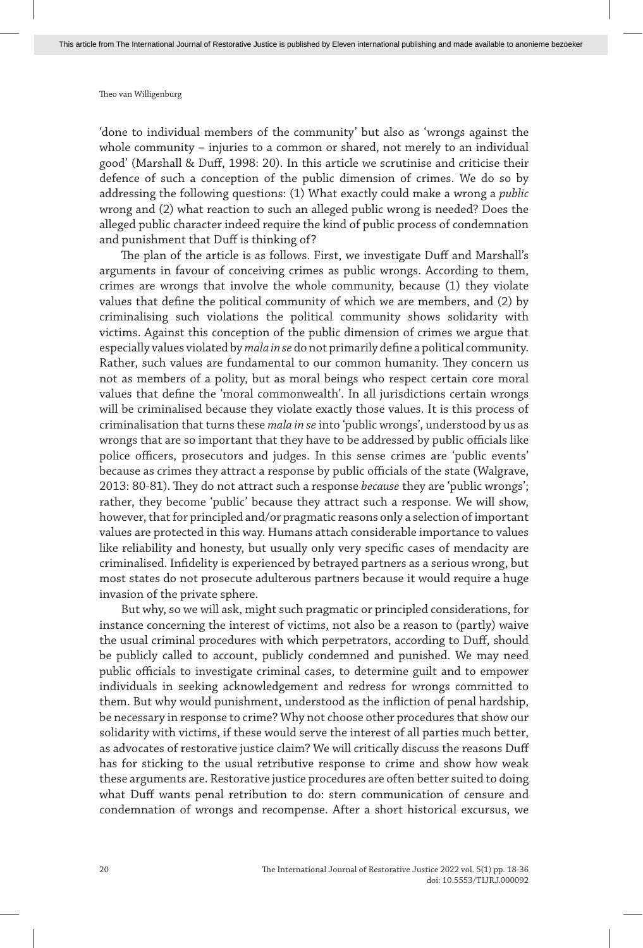'done to individual members of the community' but also as 'wrongs against the whole community – injuries to a common or shared, not merely to an individual good' (Marshall & Duff, 1998: 20). In this article we scrutinise and criticise their defence of such a conception of the public dimension of crimes. We do so by addressing the following questions: (1) What exactly could make a wrong a *public* wrong and (2) what reaction to such an alleged public wrong is needed? Does the alleged public character indeed require the kind of public process of condemnation and punishment that Duff is thinking of?

The plan of the article is as follows. First, we investigate Duff and Marshall's arguments in favour of conceiving crimes as public wrongs. According to them, crimes are wrongs that involve the whole community, because (1) they violate values that define the political community of which we are members, and (2) by criminalising such violations the political community shows solidarity with victims. Against this conception of the public dimension of crimes we argue that especially values violated by *mala in se* do not primarily define a political community. Rather, such values are fundamental to our common humanity. They concern us not as members of a polity, but as moral beings who respect certain core moral values that define the 'moral commonwealth'. In all jurisdictions certain wrongs will be criminalised because they violate exactly those values. It is this process of criminalisation that turns these *mala in se* into 'public wrongs', understood by us as wrongs that are so important that they have to be addressed by public officials like police officers, prosecutors and judges. In this sense crimes are 'public events' because as crimes they attract a response by public officials of the state (Walgrave, 2013: 80-81). They do not attract such a response *because* they are 'public wrongs'; rather, they become 'public' because they attract such a response. We will show, however, that for principled and/or pragmatic reasons only a selection of important values are protected in this way. Humans attach considerable importance to values like reliability and honesty, but usually only very specific cases of mendacity are criminalised. Infidelity is experienced by betrayed partners as a serious wrong, but most states do not prosecute adulterous partners because it would require a huge invasion of the private sphere.

But why, so we will ask, might such pragmatic or principled considerations, for instance concerning the interest of victims, not also be a reason to (partly) waive the usual criminal procedures with which perpetrators, according to Duff, should be publicly called to account, publicly condemned and punished. We may need public officials to investigate criminal cases, to determine guilt and to empower individuals in seeking acknowledgement and redress for wrongs committed to them. But why would punishment, understood as the infliction of penal hardship, be necessary in response to crime? Why not choose other procedures that show our solidarity with victims, if these would serve the interest of all parties much better, as advocates of restorative justice claim? We will critically discuss the reasons Duff has for sticking to the usual retributive response to crime and show how weak these arguments are. Restorative justice procedures are often better suited to doing what Duff wants penal retribution to do: stern communication of censure and condemnation of wrongs and recompense. After a short historical excursus, we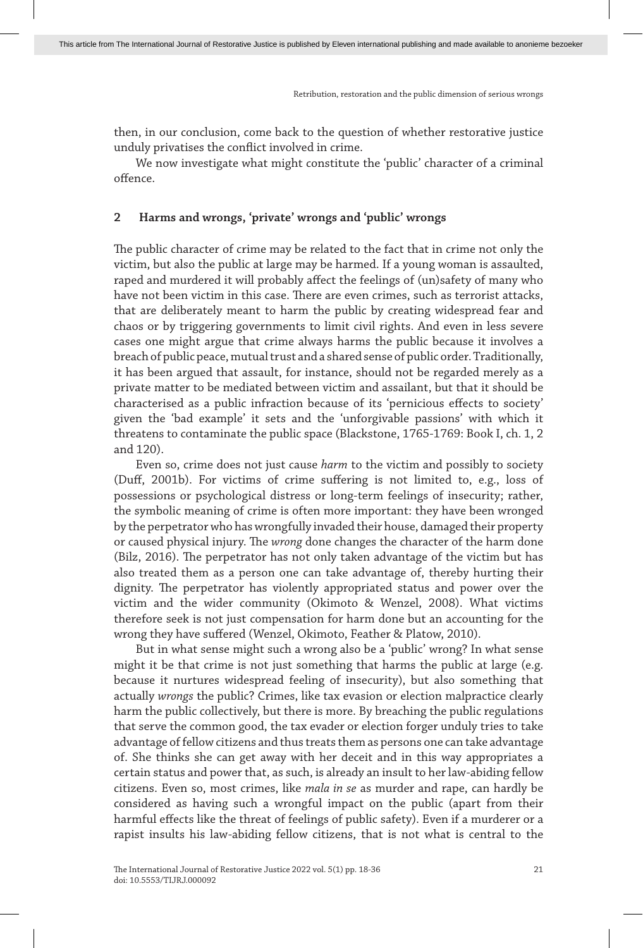then, in our conclusion, come back to the question of whether restorative justice unduly privatises the conflict involved in crime.

We now investigate what might constitute the 'public' character of a criminal offence.

## **2 Harms and wrongs, 'private' wrongs and 'public' wrongs**

The public character of crime may be related to the fact that in crime not only the victim, but also the public at large may be harmed. If a young woman is assaulted, raped and murdered it will probably affect the feelings of (un)safety of many who have not been victim in this case. There are even crimes, such as terrorist attacks, that are deliberately meant to harm the public by creating widespread fear and chaos or by triggering governments to limit civil rights. And even in less severe cases one might argue that crime always harms the public because it involves a breach of public peace, mutual trust and a shared sense of public order. Traditionally, it has been argued that assault, for instance, should not be regarded merely as a private matter to be mediated between victim and assailant, but that it should be characterised as a public infraction because of its 'pernicious effects to society' given the 'bad example' it sets and the 'unforgivable passions' with which it threatens to contaminate the public space (Blackstone, 1765-1769: Book I, ch. 1, 2 and 120).

Even so, crime does not just cause *harm* to the victim and possibly to society (Duff, 2001b). For victims of crime suffering is not limited to, e.g., loss of possessions or psychological distress or long-term feelings of insecurity; rather, the symbolic meaning of crime is often more important: they have been wronged by the perpetrator who has wrongfully invaded their house, damaged their property or caused physical injury. The *wrong* done changes the character of the harm done (Bilz, 2016). The perpetrator has not only taken advantage of the victim but has also treated them as a person one can take advantage of, thereby hurting their dignity. The perpetrator has violently appropriated status and power over the victim and the wider community (Okimoto & Wenzel, 2008). What victims therefore seek is not just compensation for harm done but an accounting for the wrong they have suffered (Wenzel, Okimoto, Feather & Platow, 2010).

But in what sense might such a wrong also be a 'public' wrong? In what sense might it be that crime is not just something that harms the public at large (e.g. because it nurtures widespread feeling of insecurity), but also something that actually *wrongs* the public? Crimes, like tax evasion or election malpractice clearly harm the public collectively, but there is more. By breaching the public regulations that serve the common good, the tax evader or election forger unduly tries to take advantage of fellow citizens and thus treats them as persons one can take advantage of. She thinks she can get away with her deceit and in this way appropriates a certain status and power that, as such, is already an insult to her law-abiding fellow citizens. Even so, most crimes, like *mala in se* as murder and rape, can hardly be considered as having such a wrongful impact on the public (apart from their harmful effects like the threat of feelings of public safety). Even if a murderer or a rapist insults his law-abiding fellow citizens, that is not what is central to the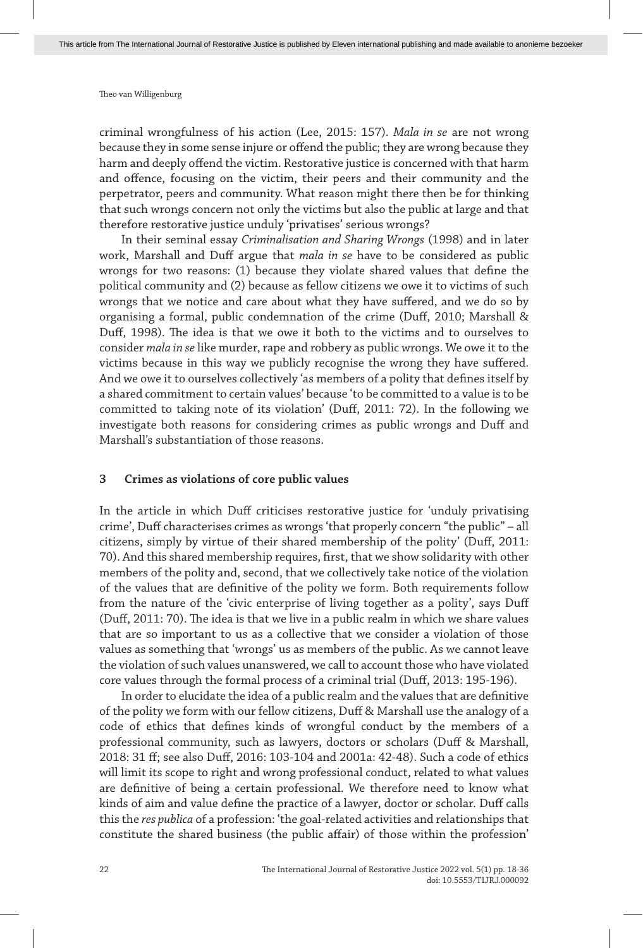criminal wrongfulness of his action (Lee, 2015: 157). *Mala in se* are not wrong because they in some sense injure or offend the public; they are wrong because they harm and deeply offend the victim. Restorative justice is concerned with that harm and offence, focusing on the victim, their peers and their community and the perpetrator, peers and community. What reason might there then be for thinking that such wrongs concern not only the victims but also the public at large and that therefore restorative justice unduly 'privatises' serious wrongs?

In their seminal essay *Criminalisation and Sharing Wrongs* (1998) and in later work, Marshall and Duff argue that *mala in se* have to be considered as public wrongs for two reasons: (1) because they violate shared values that define the political community and (2) because as fellow citizens we owe it to victims of such wrongs that we notice and care about what they have suffered, and we do so by organising a formal, public condemnation of the crime (Duff, 2010; Marshall & Duff, 1998). The idea is that we owe it both to the victims and to ourselves to consider *mala in se* like murder, rape and robbery as public wrongs. We owe it to the victims because in this way we publicly recognise the wrong they have suffered. And we owe it to ourselves collectively 'as members of a polity that defines itself by a shared commitment to certain values' because 'to be committed to a value is to be committed to taking note of its violation' (Duff, 2011: 72). In the following we investigate both reasons for considering crimes as public wrongs and Duff and Marshall's substantiation of those reasons.

#### **3 Crimes as violations of core public values**

In the article in which Duff criticises restorative justice for 'unduly privatising crime', Duff characterises crimes as wrongs 'that properly concern "the public" – all citizens, simply by virtue of their shared membership of the polity' (Duff, 2011: 70). And this shared membership requires, first, that we show solidarity with other members of the polity and, second, that we collectively take notice of the violation of the values that are definitive of the polity we form. Both requirements follow from the nature of the 'civic enterprise of living together as a polity', says Duff (Duff, 2011: 70). The idea is that we live in a public realm in which we share values that are so important to us as a collective that we consider a violation of those values as something that 'wrongs' us as members of the public. As we cannot leave the violation of such values unanswered, we call to account those who have violated core values through the formal process of a criminal trial (Duff, 2013: 195-196).

In order to elucidate the idea of a public realm and the values that are definitive of the polity we form with our fellow citizens, Duff & Marshall use the analogy of a code of ethics that defines kinds of wrongful conduct by the members of a professional community, such as lawyers, doctors or scholars (Duff & Marshall, 2018: 31 ff; see also Duff, 2016: 103-104 and 2001a: 42-48). Such a code of ethics will limit its scope to right and wrong professional conduct, related to what values are definitive of being a certain professional. We therefore need to know what kinds of aim and value define the practice of a lawyer, doctor or scholar. Duff calls this the *res publica* of a profession: 'the goal-related activities and relationships that constitute the shared business (the public affair) of those within the profession'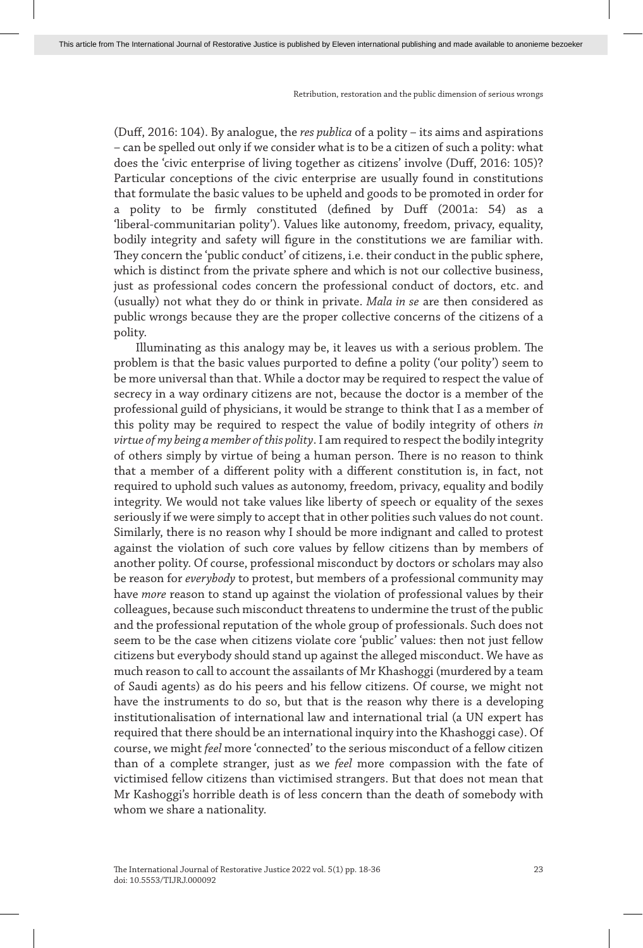(Duff, 2016: 104). By analogue, the *res publica* of a polity – its aims and aspirations – can be spelled out only if we consider what is to be a citizen of such a polity: what does the 'civic enterprise of living together as citizens' involve (Duff, 2016: 105)? Particular conceptions of the civic enterprise are usually found in constitutions that formulate the basic values to be upheld and goods to be promoted in order for a polity to be firmly constituted (defined by Duff (2001a: 54) as a 'liberal-communitarian polity'). Values like autonomy, freedom, privacy, equality, bodily integrity and safety will figure in the constitutions we are familiar with. They concern the 'public conduct' of citizens, i.e. their conduct in the public sphere, which is distinct from the private sphere and which is not our collective business, just as professional codes concern the professional conduct of doctors, etc. and (usually) not what they do or think in private. *Mala in se* are then considered as public wrongs because they are the proper collective concerns of the citizens of a polity.

Illuminating as this analogy may be, it leaves us with a serious problem. The problem is that the basic values purported to define a polity ('our polity') seem to be more universal than that. While a doctor may be required to respect the value of secrecy in a way ordinary citizens are not, because the doctor is a member of the professional guild of physicians, it would be strange to think that I as a member of this polity may be required to respect the value of bodily integrity of others *in virtue of my being a member of this polity*. I am required to respect the bodily integrity of others simply by virtue of being a human person. There is no reason to think that a member of a different polity with a different constitution is, in fact, not required to uphold such values as autonomy, freedom, privacy, equality and bodily integrity. We would not take values like liberty of speech or equality of the sexes seriously if we were simply to accept that in other polities such values do not count. Similarly, there is no reason why I should be more indignant and called to protest against the violation of such core values by fellow citizens than by members of another polity. Of course, professional misconduct by doctors or scholars may also be reason for *everybody* to protest, but members of a professional community may have *more* reason to stand up against the violation of professional values by their colleagues, because such misconduct threatens to undermine the trust of the public and the professional reputation of the whole group of professionals. Such does not seem to be the case when citizens violate core 'public' values: then not just fellow citizens but everybody should stand up against the alleged misconduct. We have as much reason to call to account the assailants of Mr Khashoggi (murdered by a team of Saudi agents) as do his peers and his fellow citizens. Of course, we might not have the instruments to do so, but that is the reason why there is a developing institutionalisation of international law and international trial (a UN expert has required that there should be an international inquiry into the Khashoggi case). Of course, we might *feel* more 'connected' to the serious misconduct of a fellow citizen than of a complete stranger, just as we *feel* more compassion with the fate of victimised fellow citizens than victimised strangers. But that does not mean that Mr Kashoggi's horrible death is of less concern than the death of somebody with whom we share a nationality.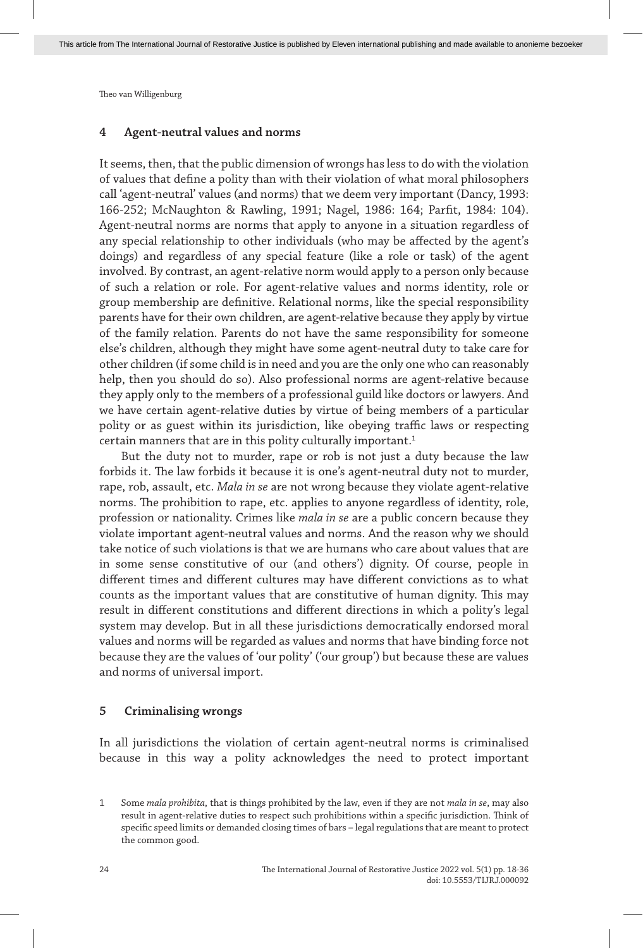#### **4 Agent-neutral values and norms**

It seems, then, that the public dimension of wrongs has less to do with the violation of values that define a polity than with their violation of what moral philosophers call 'agent-neutral' values (and norms) that we deem very important (Dancy, 1993: 166-252; McNaughton & Rawling, 1991; Nagel, 1986: 164; Parfit, 1984: 104). Agent-neutral norms are norms that apply to anyone in a situation regardless of any special relationship to other individuals (who may be affected by the agent's doings) and regardless of any special feature (like a role or task) of the agent involved. By contrast, an agent-relative norm would apply to a person only because of such a relation or role. For agent-relative values and norms identity, role or group membership are definitive. Relational norms, like the special responsibility parents have for their own children, are agent-relative because they apply by virtue of the family relation. Parents do not have the same responsibility for someone else's children, although they might have some agent-neutral duty to take care for other children (if some child is in need and you are the only one who can reasonably help, then you should do so). Also professional norms are agent-relative because they apply only to the members of a professional guild like doctors or lawyers. And we have certain agent-relative duties by virtue of being members of a particular polity or as guest within its jurisdiction, like obeying traffic laws or respecting certain manners that are in this polity culturally important.<sup>1</sup>

But the duty not to murder, rape or rob is not just a duty because the law forbids it. The law forbids it because it is one's agent-neutral duty not to murder, rape, rob, assault, etc. *Mala in se* are not wrong because they violate agent-relative norms. The prohibition to rape, etc. applies to anyone regardless of identity, role, profession or nationality. Crimes like *mala in se* are a public concern because they violate important agent-neutral values and norms. And the reason why we should take notice of such violations is that we are humans who care about values that are in some sense constitutive of our (and others') dignity. Of course, people in different times and different cultures may have different convictions as to what counts as the important values that are constitutive of human dignity. This may result in different constitutions and different directions in which a polity's legal system may develop. But in all these jurisdictions democratically endorsed moral values and norms will be regarded as values and norms that have binding force not because they are the values of 'our polity' ('our group') but because these are values and norms of universal import.

#### **5 Criminalising wrongs**

In all jurisdictions the violation of certain agent-neutral norms is criminalised because in this way a polity acknowledges the need to protect important

<sup>1</sup> Some *mala prohibita*, that is things prohibited by the law, even if they are not *mala in se*, may also result in agent-relative duties to respect such prohibitions within a specific jurisdiction. Think of specific speed limits or demanded closing times of bars – legal regulations that are meant to protect the common good.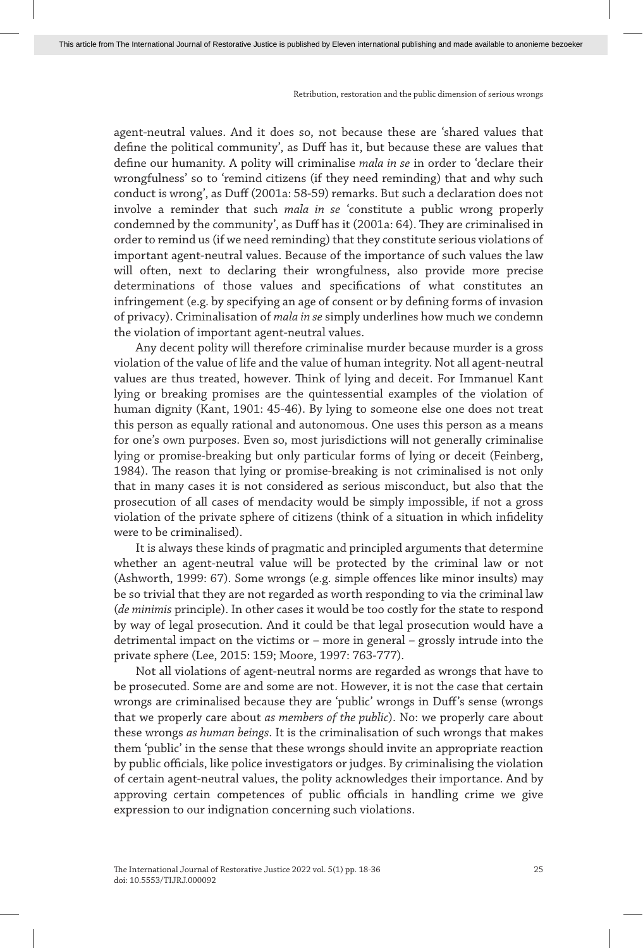agent-neutral values. And it does so, not because these are 'shared values that define the political community', as Duff has it, but because these are values that define our humanity. A polity will criminalise *mala in se* in order to 'declare their wrongfulness' so to 'remind citizens (if they need reminding) that and why such conduct is wrong', as Duff (2001a: 58-59) remarks. But such a declaration does not involve a reminder that such *mala in se* 'constitute a public wrong properly condemned by the community', as Duff has it (2001a: 64). They are criminalised in order to remind us (if we need reminding) that they constitute serious violations of important agent-neutral values. Because of the importance of such values the law will often, next to declaring their wrongfulness, also provide more precise determinations of those values and specifications of what constitutes an infringement (e.g. by specifying an age of consent or by defining forms of invasion of privacy). Criminalisation of *mala in se* simply underlines how much we condemn the violation of important agent-neutral values.

Any decent polity will therefore criminalise murder because murder is a gross violation of the value of life and the value of human integrity. Not all agent-neutral values are thus treated, however. Think of lying and deceit. For Immanuel Kant lying or breaking promises are the quintessential examples of the violation of human dignity (Kant, 1901: 45-46). By lying to someone else one does not treat this person as equally rational and autonomous. One uses this person as a means for one's own purposes. Even so, most jurisdictions will not generally criminalise lying or promise-breaking but only particular forms of lying or deceit (Feinberg, 1984). The reason that lying or promise-breaking is not criminalised is not only that in many cases it is not considered as serious misconduct, but also that the prosecution of all cases of mendacity would be simply impossible, if not a gross violation of the private sphere of citizens (think of a situation in which infidelity were to be criminalised).

It is always these kinds of pragmatic and principled arguments that determine whether an agent-neutral value will be protected by the criminal law or not (Ashworth, 1999: 67). Some wrongs (e.g. simple offences like minor insults) may be so trivial that they are not regarded as worth responding to via the criminal law (*de minimis* principle). In other cases it would be too costly for the state to respond by way of legal prosecution. And it could be that legal prosecution would have a detrimental impact on the victims or – more in general – grossly intrude into the private sphere (Lee, 2015: 159; Moore, 1997: 763-777).

Not all violations of agent-neutral norms are regarded as wrongs that have to be prosecuted. Some are and some are not. However, it is not the case that certain wrongs are criminalised because they are 'public' wrongs in Duff's sense (wrongs that we properly care about *as members of the public*). No: we properly care about these wrongs *as human beings*. It is the criminalisation of such wrongs that makes them 'public' in the sense that these wrongs should invite an appropriate reaction by public officials, like police investigators or judges. By criminalising the violation of certain agent-neutral values, the polity acknowledges their importance. And by approving certain competences of public officials in handling crime we give expression to our indignation concerning such violations.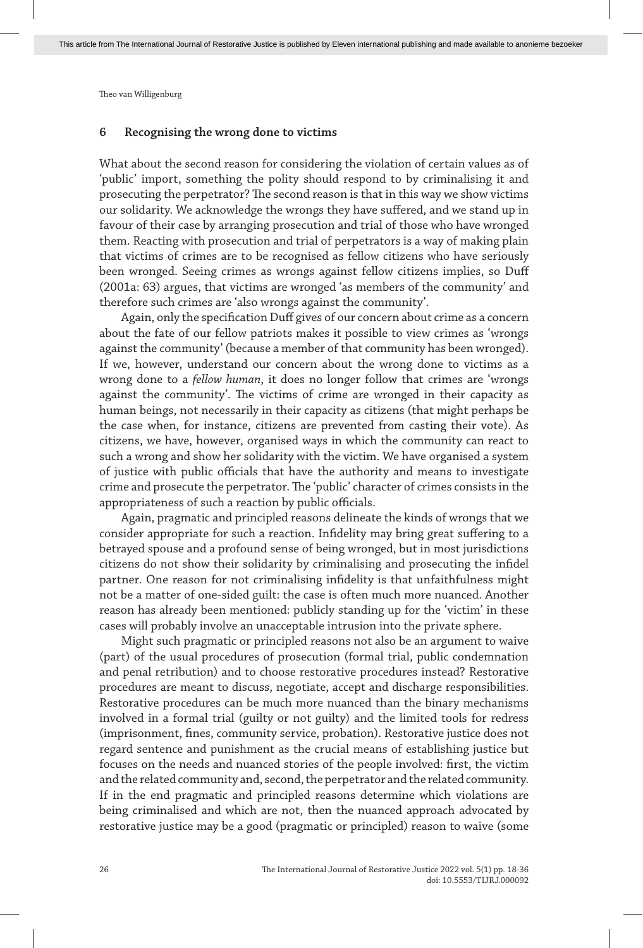#### **6 Recognising the wrong done to victims**

What about the second reason for considering the violation of certain values as of 'public' import, something the polity should respond to by criminalising it and prosecuting the perpetrator? The second reason is that in this way we show victims our solidarity. We acknowledge the wrongs they have suffered, and we stand up in favour of their case by arranging prosecution and trial of those who have wronged them. Reacting with prosecution and trial of perpetrators is a way of making plain that victims of crimes are to be recognised as fellow citizens who have seriously been wronged. Seeing crimes as wrongs against fellow citizens implies, so Duff (2001a: 63) argues, that victims are wronged 'as members of the community' and therefore such crimes are 'also wrongs against the community'.

Again, only the specification Duff gives of our concern about crime as a concern about the fate of our fellow patriots makes it possible to view crimes as 'wrongs against the community' (because a member of that community has been wronged). If we, however, understand our concern about the wrong done to victims as a wrong done to a *fellow human*, it does no longer follow that crimes are 'wrongs against the community'. The victims of crime are wronged in their capacity as human beings, not necessarily in their capacity as citizens (that might perhaps be the case when, for instance, citizens are prevented from casting their vote). As citizens, we have, however, organised ways in which the community can react to such a wrong and show her solidarity with the victim. We have organised a system of justice with public officials that have the authority and means to investigate crime and prosecute the perpetrator. The 'public' character of crimes consists in the appropriateness of such a reaction by public officials.

Again, pragmatic and principled reasons delineate the kinds of wrongs that we consider appropriate for such a reaction. Infidelity may bring great suffering to a betrayed spouse and a profound sense of being wronged, but in most jurisdictions citizens do not show their solidarity by criminalising and prosecuting the infidel partner. One reason for not criminalising infidelity is that unfaithfulness might not be a matter of one-sided guilt: the case is often much more nuanced. Another reason has already been mentioned: publicly standing up for the 'victim' in these cases will probably involve an unacceptable intrusion into the private sphere.

Might such pragmatic or principled reasons not also be an argument to waive (part) of the usual procedures of prosecution (formal trial, public condemnation and penal retribution) and to choose restorative procedures instead? Restorative procedures are meant to discuss, negotiate, accept and discharge responsibilities. Restorative procedures can be much more nuanced than the binary mechanisms involved in a formal trial (guilty or not guilty) and the limited tools for redress (imprisonment, fines, community service, probation). Restorative justice does not regard sentence and punishment as the crucial means of establishing justice but focuses on the needs and nuanced stories of the people involved: first, the victim and the related community and, second, the perpetrator and the related community. If in the end pragmatic and principled reasons determine which violations are being criminalised and which are not, then the nuanced approach advocated by restorative justice may be a good (pragmatic or principled) reason to waive (some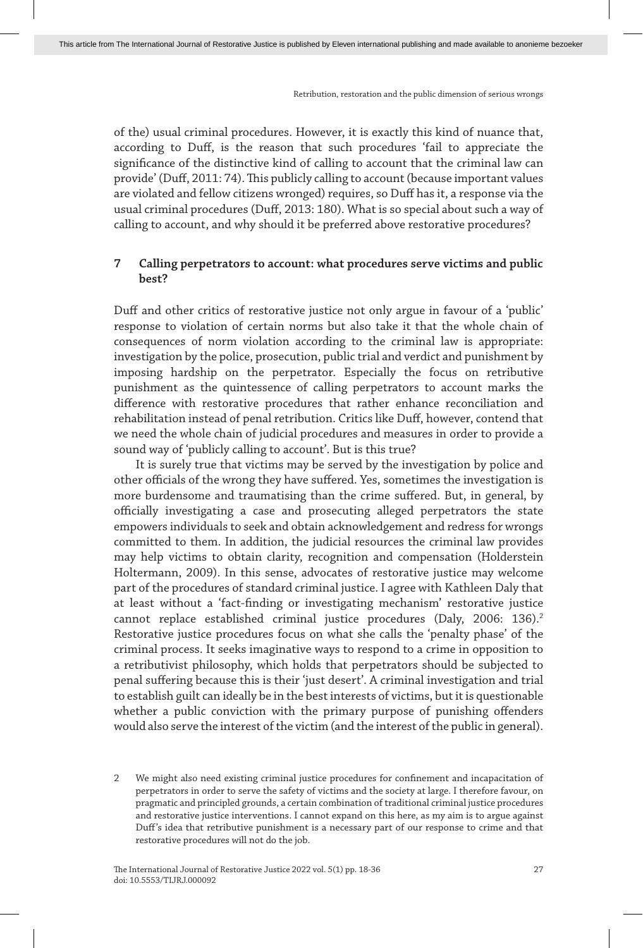of the) usual criminal procedures. However, it is exactly this kind of nuance that, according to Duff, is the reason that such procedures 'fail to appreciate the significance of the distinctive kind of calling to account that the criminal law can provide' (Duff, 2011: 74). This publicly calling to account (because important values are violated and fellow citizens wronged) requires, so Duff has it, a response via the usual criminal procedures (Duff, 2013: 180). What is so special about such a way of calling to account, and why should it be preferred above restorative procedures?

## **7 Calling perpetrators to account: what procedures serve victims and public best?**

Duff and other critics of restorative justice not only argue in favour of a 'public' response to violation of certain norms but also take it that the whole chain of consequences of norm violation according to the criminal law is appropriate: investigation by the police, prosecution, public trial and verdict and punishment by imposing hardship on the perpetrator. Especially the focus on retributive punishment as the quintessence of calling perpetrators to account marks the difference with restorative procedures that rather enhance reconciliation and rehabilitation instead of penal retribution. Critics like Duff, however, contend that we need the whole chain of judicial procedures and measures in order to provide a sound way of 'publicly calling to account'. But is this true?

It is surely true that victims may be served by the investigation by police and other officials of the wrong they have suffered. Yes, sometimes the investigation is more burdensome and traumatising than the crime suffered. But, in general, by officially investigating a case and prosecuting alleged perpetrators the state empowers individuals to seek and obtain acknowledgement and redress for wrongs committed to them. In addition, the judicial resources the criminal law provides may help victims to obtain clarity, recognition and compensation (Holderstein Holtermann, 2009). In this sense, advocates of restorative justice may welcome part of the procedures of standard criminal justice. I agree with Kathleen Daly that at least without a 'fact-finding or investigating mechanism' restorative justice cannot replace established criminal justice procedures (Daly, 2006: 136).<sup>2</sup> Restorative justice procedures focus on what she calls the 'penalty phase' of the criminal process. It seeks imaginative ways to respond to a crime in opposition to a retributivist philosophy, which holds that perpetrators should be subjected to penal suffering because this is their 'just desert'. A criminal investigation and trial to establish guilt can ideally be in the best interests of victims, but it is questionable whether a public conviction with the primary purpose of punishing offenders would also serve the interest of the victim (and the interest of the public in general).

<sup>2</sup> We might also need existing criminal justice procedures for confinement and incapacitation of perpetrators in order to serve the safety of victims and the society at large. I therefore favour, on pragmatic and principled grounds, a certain combination of traditional criminal justice procedures and restorative justice interventions. I cannot expand on this here, as my aim is to argue against Duff's idea that retributive punishment is a necessary part of our response to crime and that restorative procedures will not do the job.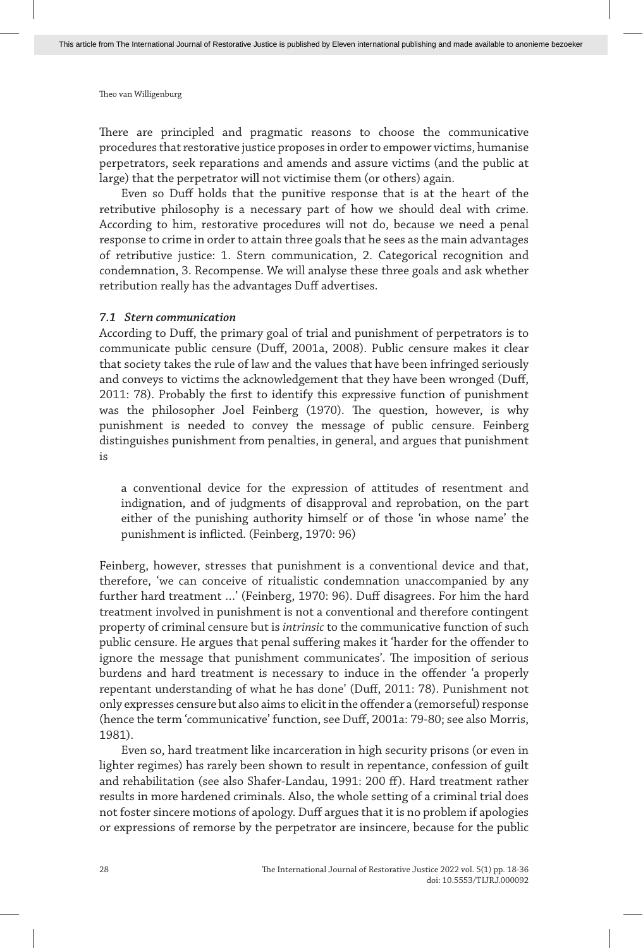There are principled and pragmatic reasons to choose the communicative procedures that restorative justice proposes in order to empower victims, humanise perpetrators, seek reparations and amends and assure victims (and the public at large) that the perpetrator will not victimise them (or others) again.

Even so Duff holds that the punitive response that is at the heart of the retributive philosophy is a necessary part of how we should deal with crime. According to him, restorative procedures will not do, because we need a penal response to crime in order to attain three goals that he sees as the main advantages of retributive justice: 1. Stern communication, 2. Categorical recognition and condemnation, 3. Recompense. We will analyse these three goals and ask whether retribution really has the advantages Duff advertises.

#### *7.1 Stern communication*

According to Duff, the primary goal of trial and punishment of perpetrators is to communicate public censure (Duff, 2001a, 2008). Public censure makes it clear that society takes the rule of law and the values that have been infringed seriously and conveys to victims the acknowledgement that they have been wronged (Duff, 2011: 78). Probably the first to identify this expressive function of punishment was the philosopher Joel Feinberg (1970). The question, however, is why punishment is needed to convey the message of public censure. Feinberg distinguishes punishment from penalties, in general, and argues that punishment is

a conventional device for the expression of attitudes of resentment and indignation, and of judgments of disapproval and reprobation, on the part either of the punishing authority himself or of those 'in whose name' the punishment is inflicted. (Feinberg, 1970: 96)

Feinberg, however, stresses that punishment is a conventional device and that, therefore, 'we can conceive of ritualistic condemnation unaccompanied by any further hard treatment …' (Feinberg, 1970: 96). Duff disagrees. For him the hard treatment involved in punishment is not a conventional and therefore contingent property of criminal censure but is *intrinsic* to the communicative function of such public censure. He argues that penal suffering makes it 'harder for the offender to ignore the message that punishment communicates'. The imposition of serious burdens and hard treatment is necessary to induce in the offender 'a properly repentant understanding of what he has done' (Duff, 2011: 78). Punishment not only expresses censure but also aims to elicit in the offender a (remorseful) response (hence the term 'communicative' function, see Duff, 2001a: 79-80; see also Morris, 1981).

Even so, hard treatment like incarceration in high security prisons (or even in lighter regimes) has rarely been shown to result in repentance, confession of guilt and rehabilitation (see also Shafer-Landau, 1991: 200 ff). Hard treatment rather results in more hardened criminals. Also, the whole setting of a criminal trial does not foster sincere motions of apology. Duff argues that it is no problem if apologies or expressions of remorse by the perpetrator are insincere, because for the public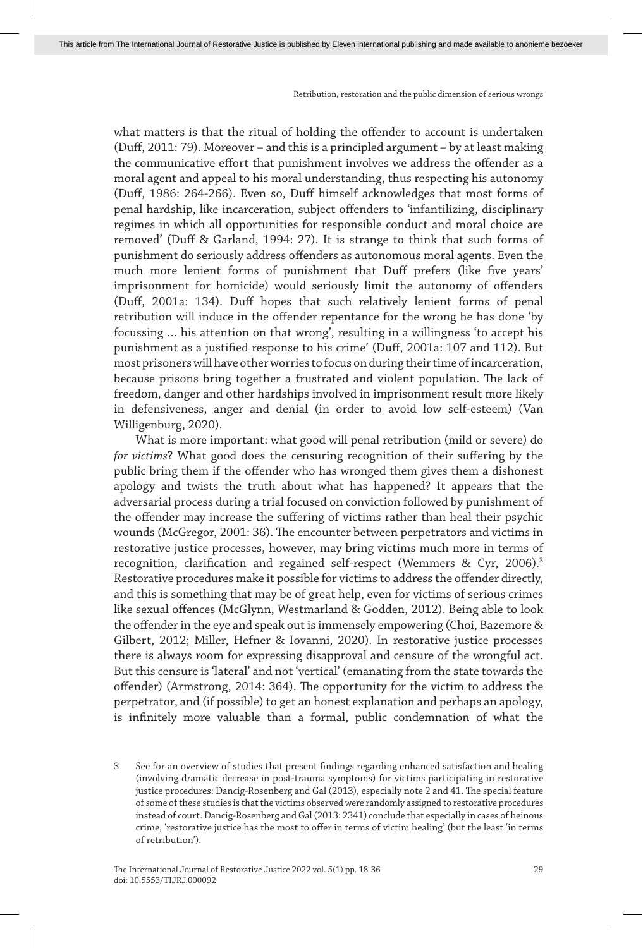what matters is that the ritual of holding the offender to account is undertaken (Duff, 2011: 79). Moreover – and this is a principled argument – by at least making the communicative effort that punishment involves we address the offender as a moral agent and appeal to his moral understanding, thus respecting his autonomy (Duff, 1986: 264-266). Even so, Duff himself acknowledges that most forms of penal hardship, like incarceration, subject offenders to 'infantilizing, disciplinary regimes in which all opportunities for responsible conduct and moral choice are removed' (Duff & Garland, 1994: 27). It is strange to think that such forms of punishment do seriously address offenders as autonomous moral agents. Even the much more lenient forms of punishment that Duff prefers (like five years' imprisonment for homicide) would seriously limit the autonomy of offenders (Duff, 2001a: 134). Duff hopes that such relatively lenient forms of penal retribution will induce in the offender repentance for the wrong he has done 'by focussing … his attention on that wrong', resulting in a willingness 'to accept his punishment as a justified response to his crime' (Duff, 2001a: 107 and 112). But most prisoners will have other worries to focus on during their time of incarceration, because prisons bring together a frustrated and violent population. The lack of freedom, danger and other hardships involved in imprisonment result more likely in defensiveness, anger and denial (in order to avoid low self-esteem) (Van Willigenburg, 2020).

What is more important: what good will penal retribution (mild or severe) do *for victims*? What good does the censuring recognition of their suffering by the public bring them if the offender who has wronged them gives them a dishonest apology and twists the truth about what has happened? It appears that the adversarial process during a trial focused on conviction followed by punishment of the offender may increase the suffering of victims rather than heal their psychic wounds (McGregor, 2001: 36). The encounter between perpetrators and victims in restorative justice processes, however, may bring victims much more in terms of recognition, clarification and regained self-respect (Wemmers & Cyr, 2006).<sup>3</sup> Restorative procedures make it possible for victims to address the offender directly, and this is something that may be of great help, even for victims of serious crimes like sexual offences (McGlynn, Westmarland & Godden, 2012). Being able to look the offender in the eye and speak out is immensely empowering (Choi, Bazemore & Gilbert, 2012; Miller, Hefner & Iovanni, 2020). In restorative justice processes there is always room for expressing disapproval and censure of the wrongful act. But this censure is 'lateral' and not 'vertical' (emanating from the state towards the offender) (Armstrong, 2014: 364). The opportunity for the victim to address the perpetrator, and (if possible) to get an honest explanation and perhaps an apology, is infinitely more valuable than a formal, public condemnation of what the

<sup>3</sup> See for an overview of studies that present findings regarding enhanced satisfaction and healing (involving dramatic decrease in post-trauma symptoms) for victims participating in restorative justice procedures: Dancig-Rosenberg and Gal (2013), especially note 2 and 41. The special feature of some of these studies is that the victims observed were randomly assigned to restorative procedures instead of court. Dancig-Rosenberg and Gal (2013: 2341) conclude that especially in cases of heinous crime, 'restorative justice has the most to offer in terms of victim healing' (but the least 'in terms of retribution').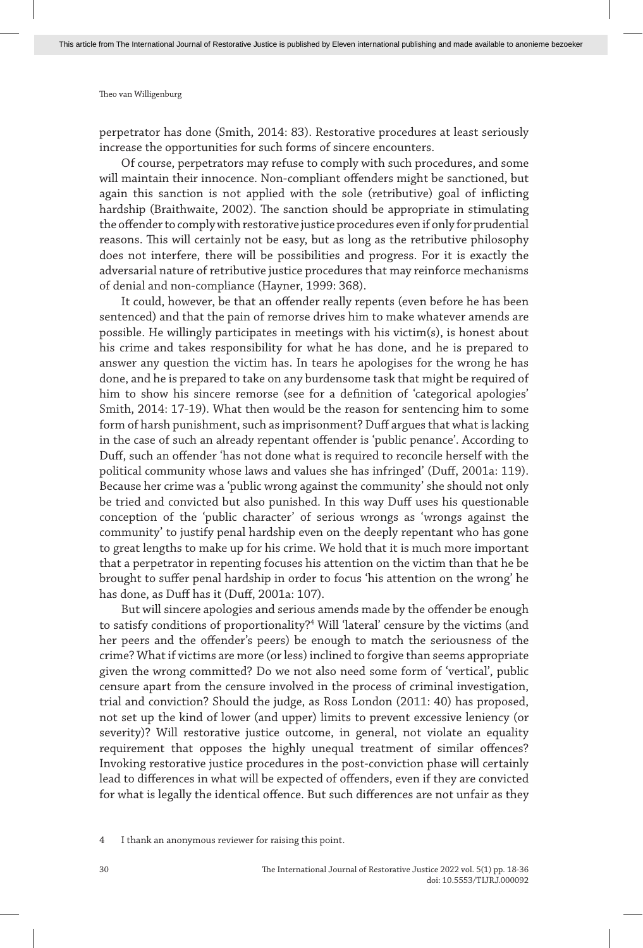perpetrator has done (Smith, 2014: 83). Restorative procedures at least seriously increase the opportunities for such forms of sincere encounters.

Of course, perpetrators may refuse to comply with such procedures, and some will maintain their innocence. Non-compliant offenders might be sanctioned, but again this sanction is not applied with the sole (retributive) goal of inflicting hardship (Braithwaite, 2002). The sanction should be appropriate in stimulating the offender to comply with restorative justice procedures even if only for prudential reasons. This will certainly not be easy, but as long as the retributive philosophy does not interfere, there will be possibilities and progress. For it is exactly the adversarial nature of retributive justice procedures that may reinforce mechanisms of denial and non-compliance (Hayner, 1999: 368).

It could, however, be that an offender really repents (even before he has been sentenced) and that the pain of remorse drives him to make whatever amends are possible. He willingly participates in meetings with his victim(s), is honest about his crime and takes responsibility for what he has done, and he is prepared to answer any question the victim has. In tears he apologises for the wrong he has done, and he is prepared to take on any burdensome task that might be required of him to show his sincere remorse (see for a definition of 'categorical apologies' Smith, 2014: 17-19). What then would be the reason for sentencing him to some form of harsh punishment, such as imprisonment? Duff argues that what is lacking in the case of such an already repentant offender is 'public penance'. According to Duff, such an offender 'has not done what is required to reconcile herself with the political community whose laws and values she has infringed' (Duff, 2001a: 119). Because her crime was a 'public wrong against the community' she should not only be tried and convicted but also punished. In this way Duff uses his questionable conception of the 'public character' of serious wrongs as 'wrongs against the community' to justify penal hardship even on the deeply repentant who has gone to great lengths to make up for his crime. We hold that it is much more important that a perpetrator in repenting focuses his attention on the victim than that he be brought to suffer penal hardship in order to focus 'his attention on the wrong' he has done, as Duff has it (Duff, 2001a: 107).

But will sincere apologies and serious amends made by the offender be enough to satisfy conditions of proportionality?4 Will 'lateral' censure by the victims (and her peers and the offender's peers) be enough to match the seriousness of the crime? What if victims are more (or less) inclined to forgive than seems appropriate given the wrong committed? Do we not also need some form of 'vertical', public censure apart from the censure involved in the process of criminal investigation, trial and conviction? Should the judge, as Ross London (2011: 40) has proposed, not set up the kind of lower (and upper) limits to prevent excessive leniency (or severity)? Will restorative justice outcome, in general, not violate an equality requirement that opposes the highly unequal treatment of similar offences? Invoking restorative justice procedures in the post-conviction phase will certainly lead to differences in what will be expected of offenders, even if they are convicted for what is legally the identical offence. But such differences are not unfair as they

<sup>4</sup> I thank an anonymous reviewer for raising this point.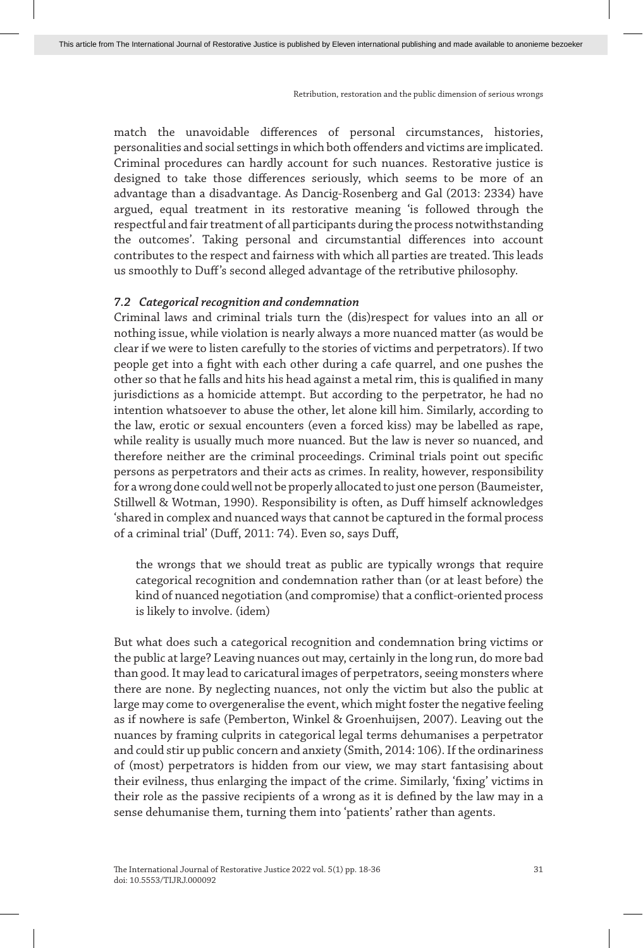match the unavoidable differences of personal circumstances, histories, personalities and social settings in which both offenders and victims are implicated. Criminal procedures can hardly account for such nuances. Restorative justice is designed to take those differences seriously, which seems to be more of an advantage than a disadvantage. As Dancig-Rosenberg and Gal (2013: 2334) have argued, equal treatment in its restorative meaning 'is followed through the respectful and fair treatment of all participants during the process notwithstanding the outcomes'. Taking personal and circumstantial differences into account contributes to the respect and fairness with which all parties are treated. This leads us smoothly to Duff's second alleged advantage of the retributive philosophy.

#### *7.2 Categorical recognition and condemnation*

Criminal laws and criminal trials turn the (dis)respect for values into an all or nothing issue, while violation is nearly always a more nuanced matter (as would be clear if we were to listen carefully to the stories of victims and perpetrators). If two people get into a fight with each other during a cafe quarrel, and one pushes the other so that he falls and hits his head against a metal rim, this is qualified in many jurisdictions as a homicide attempt. But according to the perpetrator, he had no intention whatsoever to abuse the other, let alone kill him. Similarly, according to the law, erotic or sexual encounters (even a forced kiss) may be labelled as rape, while reality is usually much more nuanced. But the law is never so nuanced, and therefore neither are the criminal proceedings. Criminal trials point out specific persons as perpetrators and their acts as crimes. In reality, however, responsibility for a wrong done could well not be properly allocated to just one person (Baumeister, Stillwell & Wotman, 1990). Responsibility is often, as Duff himself acknowledges 'shared in complex and nuanced ways that cannot be captured in the formal process of a criminal trial' (Duff, 2011: 74). Even so, says Duff,

the wrongs that we should treat as public are typically wrongs that require categorical recognition and condemnation rather than (or at least before) the kind of nuanced negotiation (and compromise) that a conflict-oriented process is likely to involve. (idem)

But what does such a categorical recognition and condemnation bring victims or the public at large? Leaving nuances out may, certainly in the long run, do more bad than good. It may lead to caricatural images of perpetrators, seeing monsters where there are none. By neglecting nuances, not only the victim but also the public at large may come to overgeneralise the event, which might foster the negative feeling as if nowhere is safe (Pemberton, Winkel & Groenhuijsen, 2007). Leaving out the nuances by framing culprits in categorical legal terms dehumanises a perpetrator and could stir up public concern and anxiety (Smith, 2014: 106). If the ordinariness of (most) perpetrators is hidden from our view, we may start fantasising about their evilness, thus enlarging the impact of the crime. Similarly, 'fixing' victims in their role as the passive recipients of a wrong as it is defined by the law may in a sense dehumanise them, turning them into 'patients' rather than agents.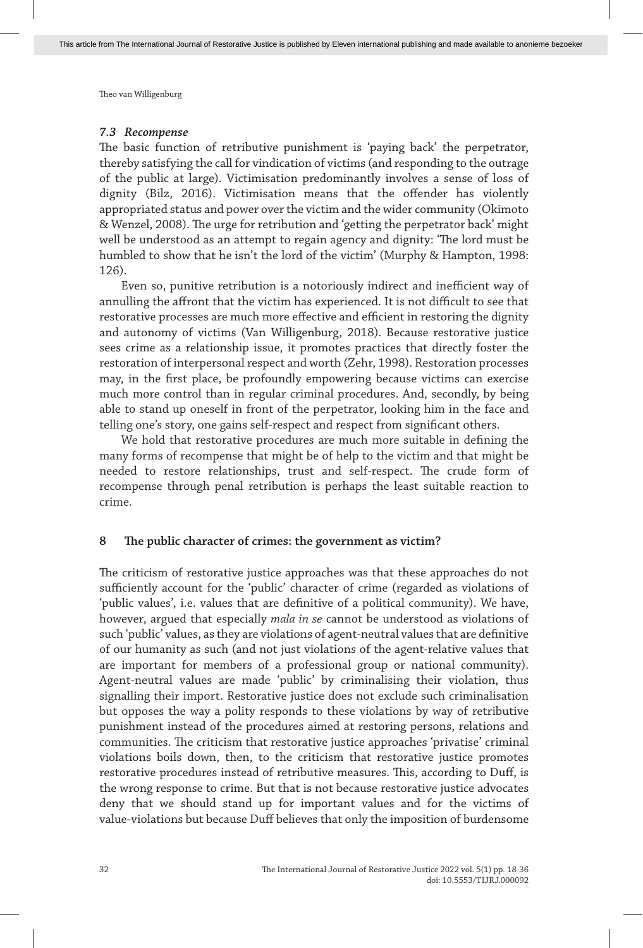#### *7.3 Recompense*

The basic function of retributive punishment is 'paying back' the perpetrator, thereby satisfying the call for vindication of victims (and responding to the outrage of the public at large). Victimisation predominantly involves a sense of loss of dignity (Bilz, 2016). Victimisation means that the offender has violently appropriated status and power over the victim and the wider community (Okimoto & Wenzel, 2008). The urge for retribution and 'getting the perpetrator back' might well be understood as an attempt to regain agency and dignity: 'The lord must be humbled to show that he isn't the lord of the victim' (Murphy & Hampton, 1998: 126).

Even so, punitive retribution is a notoriously indirect and inefficient way of annulling the affront that the victim has experienced. It is not difficult to see that restorative processes are much more effective and efficient in restoring the dignity and autonomy of victims (Van Willigenburg, 2018). Because restorative justice sees crime as a relationship issue, it promotes practices that directly foster the restoration of interpersonal respect and worth (Zehr, 1998). Restoration processes may, in the first place, be profoundly empowering because victims can exercise much more control than in regular criminal procedures. And, secondly, by being able to stand up oneself in front of the perpetrator, looking him in the face and telling one's story, one gains self-respect and respect from significant others.

We hold that restorative procedures are much more suitable in defining the many forms of recompense that might be of help to the victim and that might be needed to restore relationships, trust and self-respect. The crude form of recompense through penal retribution is perhaps the least suitable reaction to crime.

## **8 The public character of crimes: the government as victim?**

The criticism of restorative justice approaches was that these approaches do not sufficiently account for the 'public' character of crime (regarded as violations of 'public values', i.e. values that are definitive of a political community). We have, however, argued that especially *mala in se* cannot be understood as violations of such 'public' values, as they are violations of agent-neutral values that are definitive of our humanity as such (and not just violations of the agent-relative values that are important for members of a professional group or national community). Agent-neutral values are made 'public' by criminalising their violation, thus signalling their import. Restorative justice does not exclude such criminalisation but opposes the way a polity responds to these violations by way of retributive punishment instead of the procedures aimed at restoring persons, relations and communities. The criticism that restorative justice approaches 'privatise' criminal violations boils down, then, to the criticism that restorative justice promotes restorative procedures instead of retributive measures. This, according to Duff, is the wrong response to crime. But that is not because restorative justice advocates deny that we should stand up for important values and for the victims of value-violations but because Duff believes that only the imposition of burdensome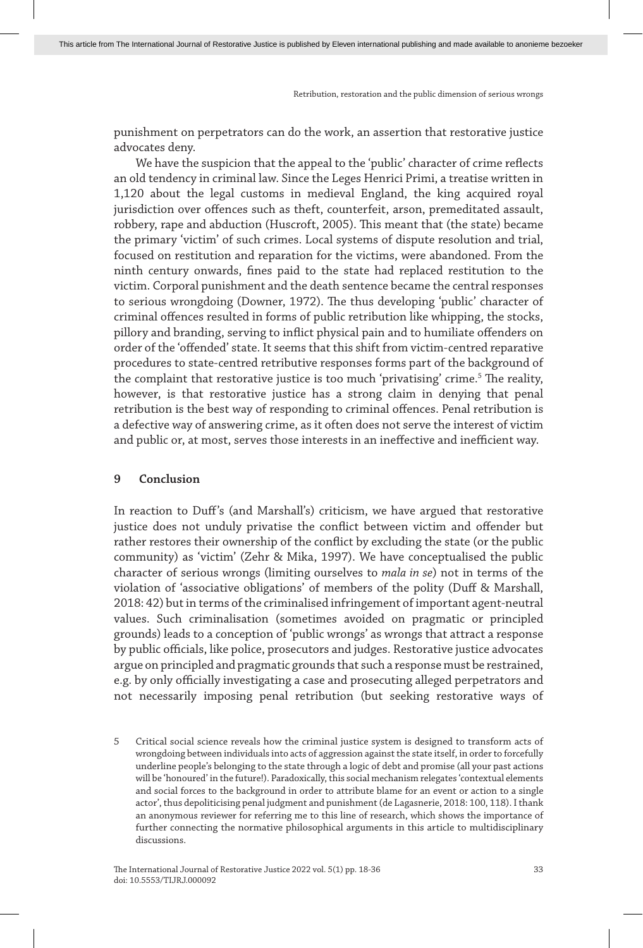punishment on perpetrators can do the work, an assertion that restorative justice advocates deny.

We have the suspicion that the appeal to the 'public' character of crime reflects an old tendency in criminal law. Since the Leges Henrici Primi, a treatise written in 1,120 about the legal customs in medieval England, the king acquired royal jurisdiction over offences such as theft, counterfeit, arson, premeditated assault, robbery, rape and abduction (Huscroft, 2005). This meant that (the state) became the primary 'victim' of such crimes. Local systems of dispute resolution and trial, focused on restitution and reparation for the victims, were abandoned. From the ninth century onwards, fines paid to the state had replaced restitution to the victim. Corporal punishment and the death sentence became the central responses to serious wrongdoing (Downer, 1972). The thus developing 'public' character of criminal offences resulted in forms of public retribution like whipping, the stocks, pillory and branding, serving to inflict physical pain and to humiliate offenders on order of the 'offended' state. It seems that this shift from victim-centred reparative procedures to state-centred retributive responses forms part of the background of the complaint that restorative justice is too much 'privatising' crime.<sup>5</sup> The reality, however, is that restorative justice has a strong claim in denying that penal retribution is the best way of responding to criminal offences. Penal retribution is a defective way of answering crime, as it often does not serve the interest of victim and public or, at most, serves those interests in an ineffective and inefficient way.

## **9 Conclusion**

In reaction to Duff's (and Marshall's) criticism, we have argued that restorative justice does not unduly privatise the conflict between victim and offender but rather restores their ownership of the conflict by excluding the state (or the public community) as 'victim' (Zehr & Mika, 1997). We have conceptualised the public character of serious wrongs (limiting ourselves to *mala in se*) not in terms of the violation of 'associative obligations' of members of the polity (Duff & Marshall, 2018: 42) but in terms of the criminalised infringement of important agent-neutral values. Such criminalisation (sometimes avoided on pragmatic or principled grounds) leads to a conception of 'public wrongs' as wrongs that attract a response by public officials, like police, prosecutors and judges. Restorative justice advocates argue on principled and pragmatic grounds that such a response must be restrained, e.g. by only officially investigating a case and prosecuting alleged perpetrators and not necessarily imposing penal retribution (but seeking restorative ways of

<sup>5</sup> Critical social science reveals how the criminal justice system is designed to transform acts of wrongdoing between individuals into acts of aggression against the state itself, in order to forcefully underline people's belonging to the state through a logic of debt and promise (all your past actions will be 'honoured' in the future!). Paradoxically, this social mechanism relegates 'contextual elements and social forces to the background in order to attribute blame for an event or action to a single actor', thus depoliticising penal judgment and punishment (de Lagasnerie, 2018: 100, 118). I thank an anonymous reviewer for referring me to this line of research, which shows the importance of further connecting the normative philosophical arguments in this article to multidisciplinary discussions.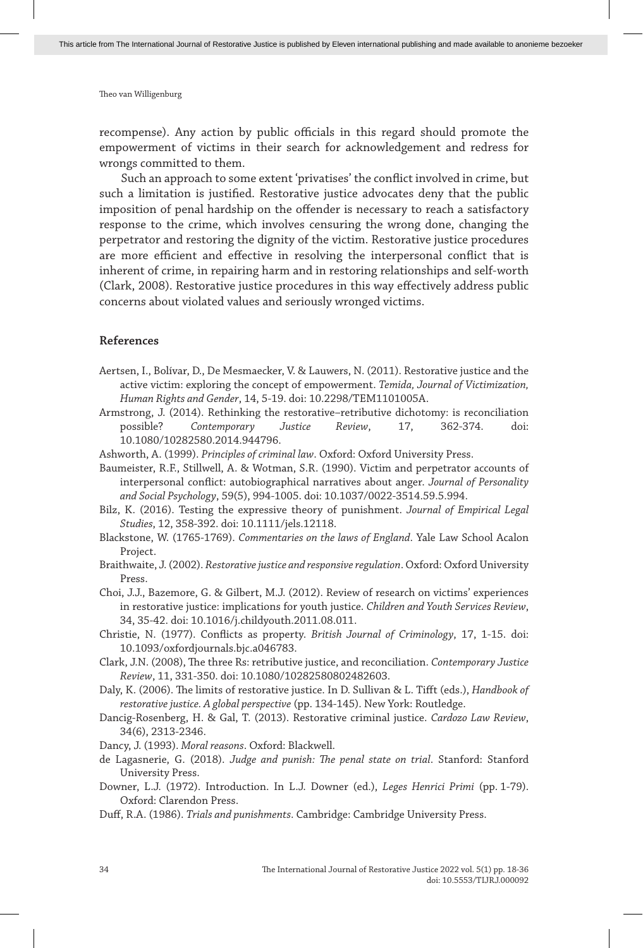recompense). Any action by public officials in this regard should promote the empowerment of victims in their search for acknowledgement and redress for wrongs committed to them.

Such an approach to some extent 'privatises' the conflict involved in crime, but such a limitation is justified. Restorative justice advocates deny that the public imposition of penal hardship on the offender is necessary to reach a satisfactory response to the crime, which involves censuring the wrong done, changing the perpetrator and restoring the dignity of the victim. Restorative justice procedures are more efficient and effective in resolving the interpersonal conflict that is inherent of crime, in repairing harm and in restoring relationships and self-worth (Clark, 2008). Restorative justice procedures in this way effectively address public concerns about violated values and seriously wronged victims.

#### **References**

- Aertsen, I., Bolívar, D., De Mesmaecker, V. & Lauwers, N. (2011). Restorative justice and the active victim: exploring the concept of empowerment. *Temida, Journal of Victimization, Human Rights and Gender*, 14, 5-19. doi: 10.2298/TEM1101005A.
- Armstrong, J. (2014). Rethinking the restorative–retributive dichotomy: is reconciliation possible? *Contemporary Justice Review*, 17, 362-374. doi: 10.1080/10282580.2014.944796.
- Ashworth, A. (1999). *Principles of criminal law*. Oxford: Oxford University Press.
- Baumeister, R.F., Stillwell, A. & Wotman, S.R. (1990). Victim and perpetrator accounts of interpersonal conflict: autobiographical narratives about anger. *Journal of Personality and Social Psychology*, 59(5), 994-1005. doi: 10.1037/0022-3514.59.5.994.
- Bilz, K. (2016). Testing the expressive theory of punishment. *Journal of Empirical Legal Studies*, 12, 358-392. doi: 10.1111/jels.12118.
- Blackstone, W. (1765-1769). *Commentaries on the laws of England*. Yale Law School Acalon Project.
- Braithwaite, J. (2002). *Restorative justice and responsive regulation*. Oxford: Oxford University **Procc**
- Choi, J.J., Bazemore, G. & Gilbert, M.J. (2012). Review of research on victims' experiences in restorative justice: implications for youth justice. *Children and Youth Services Review*, 34, 35-42. doi: 10.1016/j.childyouth.2011.08.011.
- Christie, N. (1977). Conflicts as property. *British Journal of Criminology*, 17, 1-15. doi: 10.1093/oxfordjournals.bjc.a046783.
- Clark, J.N. (2008), The three Rs: retributive justice, and reconciliation. *Contemporary Justice Review*, 11, 331-350. doi: 10.1080/10282580802482603.
- Daly, K. (2006). The limits of restorative justice. In D. Sullivan & L. Tifft (eds.), *Handbook of restorative justice. A global perspective* (pp. 134-145). New York: Routledge.
- Dancig-Rosenberg, H. & Gal, T. (2013). Restorative criminal justice. *Cardozo Law Review*, 34(6), 2313-2346.
- Dancy, J. (1993). *Moral reasons*. Oxford: Blackwell.
- de Lagasnerie, G. (2018). *Judge and punish: The penal state on trial*. Stanford: Stanford University Press.
- Downer, L.J. (1972). Introduction. In L.J. Downer (ed.), *Leges Henrici Primi* (pp. 1-79). Oxford: Clarendon Press.
- Duff, R.A. (1986). *Trials and punishments*. Cambridge: Cambridge University Press.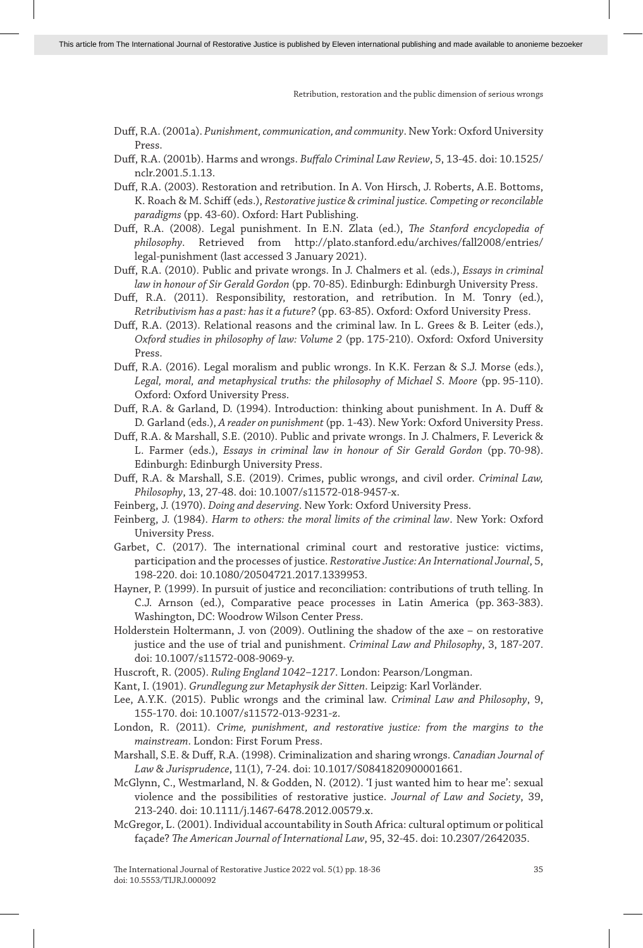- Duff, R.A. (2001a). *Punishment, communication, and community*. New York: Oxford University Press.
- Duff, R.A. (2001b). Harms and wrongs. *Buffalo Criminal Law Review*, 5, 13-45. doi: 10.1525/ nclr.2001.5.1.13.
- Duff, R.A. (2003). Restoration and retribution. In A. Von Hirsch, J. Roberts, A.E. Bottoms, K. Roach & M. Schiff (eds.), *Restorative justice & criminal justice. Competing or reconcilable paradigms* (pp. 43-60). Oxford: Hart Publishing.
- Duff, R.A. (2008). Legal punishment. In E.N. Zlata (ed.), *The Stanford encyclopedia of philosophy*. Retrieved from http://plato.stanford.edu/archives/fall2008/entries/ legal-punishment (last accessed 3 January 2021).
- Duff, R.A. (2010). Public and private wrongs. In J. Chalmers et al. (eds.), *Essays in criminal law in honour of Sir Gerald Gordon* (pp. 70-85). Edinburgh: Edinburgh University Press.
- Duff, R.A. (2011). Responsibility, restoration, and retribution. In M. Tonry (ed.), *Retributivism has a past: has it a future?* (pp. 63-85). Oxford: Oxford University Press.
- Duff, R.A. (2013). Relational reasons and the criminal law. In L. Grees & B. Leiter (eds.), *Oxford studies in philosophy of law: Volume 2* (pp. 175-210). Oxford: Oxford University Press.
- Duff, R.A. (2016). Legal moralism and public wrongs. In K.K. Ferzan & S.J. Morse (eds.), *Legal, moral, and metaphysical truths: the philosophy of Michael S. Moore* (pp. 95-110). Oxford: Oxford University Press.
- Duff, R.A. & Garland, D. (1994). Introduction: thinking about punishment. In A. Duff & D. Garland (eds.), *A reader on punishment* (pp. 1-43). New York: Oxford University Press.
- Duff, R.A. & Marshall, S.E. (2010). Public and private wrongs. In J. Chalmers, F. Leverick & L. Farmer (eds.), *Essays in criminal law in honour of Sir Gerald Gordon* (pp. 70-98). Edinburgh: Edinburgh University Press.
- Duff, R.A. & Marshall, S.E. (2019). Crimes, public wrongs, and civil order. *Criminal Law, Philosophy*, 13, 27-48. doi: 10.1007/s11572-018-9457-x.
- Feinberg, J. (1970). *Doing and deserving*. New York: Oxford University Press.
- Feinberg, J. (1984). *Harm to others: the moral limits of the criminal law*. New York: Oxford University Press.
- Garbet, C. (2017). The international criminal court and restorative justice: victims, participation and the processes of justice. *Restorative Justice: An International Journal*, 5, 198-220. doi: 10.1080/20504721.2017.1339953.
- Hayner, P. (1999). In pursuit of justice and reconciliation: contributions of truth telling. In C.J. Arnson (ed.), Comparative peace processes in Latin America (pp. 363-383). Washington, DC: Woodrow Wilson Center Press.
- Holderstein Holtermann, J. von (2009). Outlining the shadow of the axe on restorative justice and the use of trial and punishment. *Criminal Law and Philosophy*, 3, 187-207. doi: 10.1007/s11572-008-9069-y.
- Huscroft, R. (2005). *Ruling England 1042–1217*. London: Pearson/Longman.
- Kant, I. (1901). *Grundlegung zur Metaphysik der Sitten*. Leipzig: Karl Vorländer.
- Lee, A.Y.K. (2015). Public wrongs and the criminal law. *Criminal Law and Philosophy*, 9, 155-170. doi: 10.1007/s11572-013-9231-z.
- London, R. (2011). *Crime, punishment, and restorative justice: from the margins to the mainstream*. London: First Forum Press.
- Marshall, S.E. & Duff, R.A. (1998). Criminalization and sharing wrongs. *Canadian Journal of Law & Jurisprudence*, 11(1), 7-24. doi: 10.1017/S0841820900001661.
- McGlynn, C., Westmarland, N. & Godden, N. (2012). 'I just wanted him to hear me': sexual violence and the possibilities of restorative justice. *Journal of Law and Society*, 39, 213-240. doi: 10.1111/j.1467-6478.2012.00579.x.
- McGregor, L. (2001). Individual accountability in South Africa: cultural optimum or political façade? *The American Journal of International Law*, 95, 32-45. doi: 10.2307/2642035.